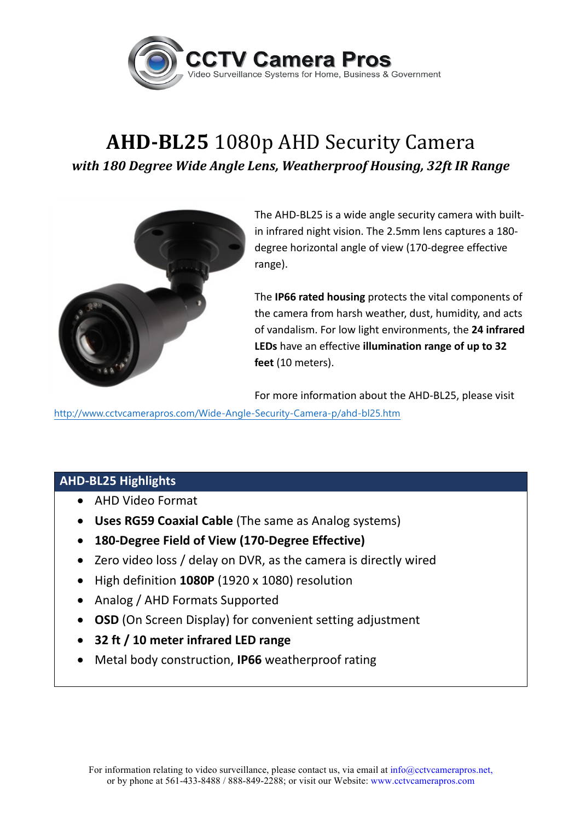

## **AHD-BL25** 1080p AHD Security Camera with 180 Degree Wide Angle Lens, Weatherproof Housing, 32ft IR Range



The AHD-BL25 is a wide angle security camera with builtin infrared night vision. The 2.5mm lens captures a 180degree horizontal angle of view (170-degree effective range).

The **IP66 rated housing** protects the vital components of the camera from harsh weather, dust, humidity, and acts of vandalism. For low light environments, the 24 infrared LEDs have an effective illumination range of up to 32 **feet** (10 meters). 

For more information about the AHD-BL25, please visit

http://www.cctvcamerapros.com/Wide-Angle-Security-Camera-p/ahd-bl25.htm

## **AHD-BL25 Highlights**

- AHD Video Format
- Uses RG59 Coaxial Cable (The same as Analog systems)
- **180-Degree Field of View (170-Degree Effective)**
- Zero video loss / delay on DVR, as the camera is directly wired
- High definition 1080P (1920 x 1080) resolution
- Analog / AHD Formats Supported
- **OSD** (On Screen Display) for convenient setting adjustment
- **32 ft / 10 meter infrared LED range**
- Metal body construction, **IP66** weatherproof rating